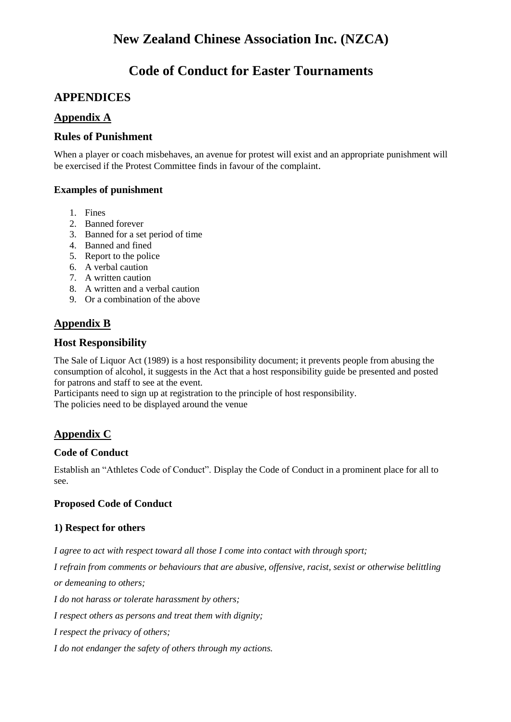# **Code of Conduct for Easter Tournaments**

# **APPENDICES**

# **Appendix A**

#### **Rules of Punishment**

When a player or coach misbehaves, an avenue for protest will exist and an appropriate punishment will be exercised if the Protest Committee finds in favour of the complaint.

#### **Examples of punishment**

- 1. Fines
- 2. Banned forever
- 3. Banned for a set period of time
- 4. Banned and fined
- 5. Report to the police
- 6. A verbal caution
- 7. A written caution
- 8. A written and a verbal caution
- 9. Or a combination of the above

# **Appendix B**

### **Host Responsibility**

The Sale of Liquor Act (1989) is a host responsibility document; it prevents people from abusing the consumption of alcohol, it suggests in the Act that a host responsibility guide be presented and posted for patrons and staff to see at the event.

Participants need to sign up at registration to the principle of host responsibility. The policies need to be displayed around the venue

# **Appendix C**

#### **Code of Conduct**

Establish an "Athletes Code of Conduct". Display the Code of Conduct in a prominent place for all to see.

#### **Proposed Code of Conduct**

#### **1) Respect for others**

*I agree to act with respect toward all those I come into contact with through sport;*

*I refrain from comments or behaviours that are abusive, offensive, racist, sexist or otherwise belittling or demeaning to others;*

*I do not harass or tolerate harassment by others;*

*I respect others as persons and treat them with dignity;*

*I respect the privacy of others;*

*I do not endanger the safety of others through my actions.*